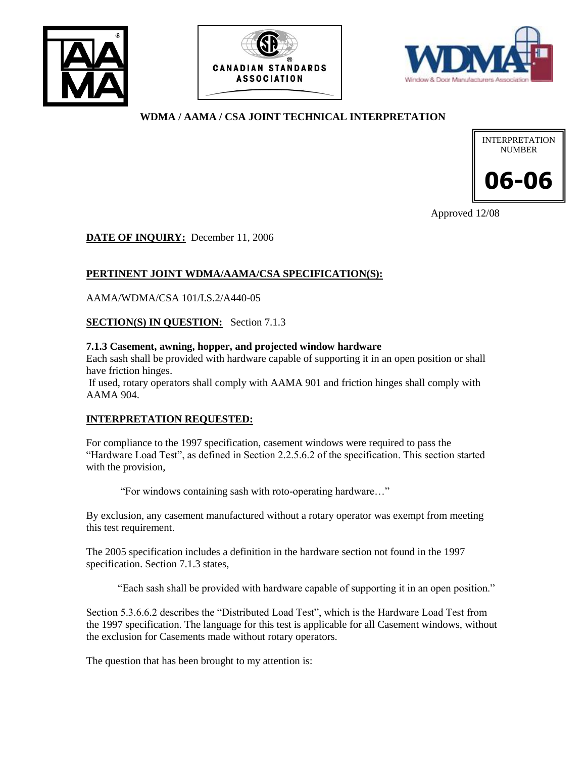





### **WDMA / AAMA / CSA JOINT TECHNICAL INTERPRETATION**



Approved 12/08

**DATE OF INQUIRY:** December 11, 2006

# **PERTINENT JOINT WDMA/AAMA/CSA SPECIFICATION(S):**

AAMA/WDMA/CSA 101/I.S.2/A440-05

**SECTION(S) IN QUESTION:** Section 7.1.3

#### **7.1.3 Casement, awning, hopper, and projected window hardware**

Each sash shall be provided with hardware capable of supporting it in an open position or shall have friction hinges.

If used, rotary operators shall comply with AAMA 901 and friction hinges shall comply with AAMA 904.

### **INTERPRETATION REQUESTED:**

For compliance to the 1997 specification, casement windows were required to pass the "Hardware Load Test", as defined in Section 2.2.5.6.2 of the specification. This section started with the provision,

"For windows containing sash with roto-operating hardware…"

By exclusion, any casement manufactured without a rotary operator was exempt from meeting this test requirement.

The 2005 specification includes a definition in the hardware section not found in the 1997 specification. Section 7.1.3 states,

"Each sash shall be provided with hardware capable of supporting it in an open position."

Section 5.3.6.6.2 describes the "Distributed Load Test", which is the Hardware Load Test from the 1997 specification. The language for this test is applicable for all Casement windows, without the exclusion for Casements made without rotary operators.

The question that has been brought to my attention is: